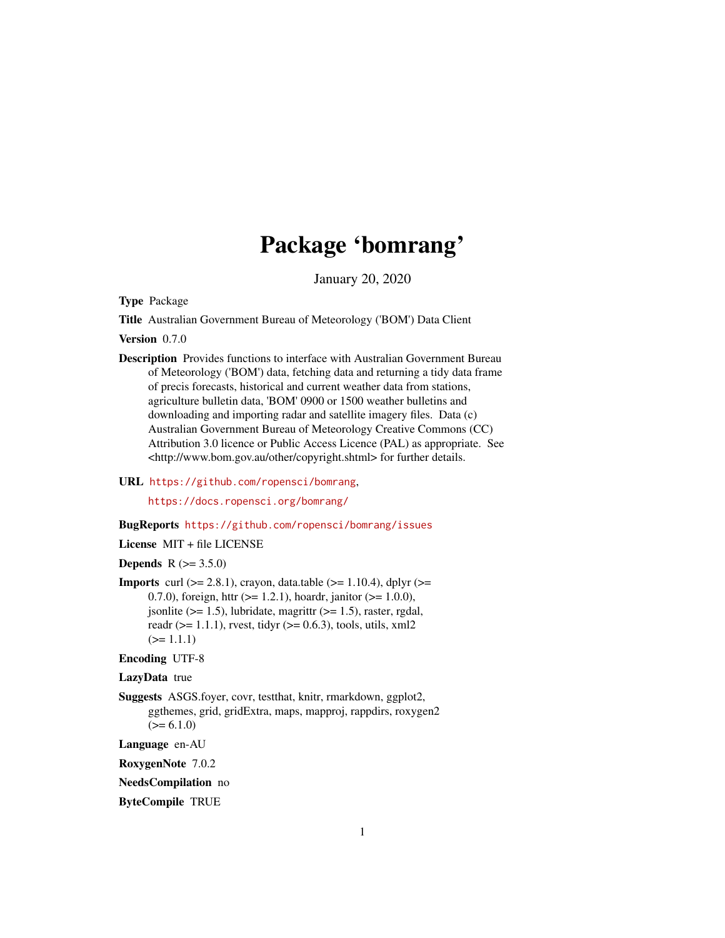## Package 'bomrang'

January 20, 2020

<span id="page-0-0"></span>Type Package

Title Australian Government Bureau of Meteorology ('BOM') Data Client

Version 0.7.0

- Description Provides functions to interface with Australian Government Bureau of Meteorology ('BOM') data, fetching data and returning a tidy data frame of precis forecasts, historical and current weather data from stations, agriculture bulletin data, 'BOM' 0900 or 1500 weather bulletins and downloading and importing radar and satellite imagery files. Data (c) Australian Government Bureau of Meteorology Creative Commons (CC) Attribution 3.0 licence or Public Access Licence (PAL) as appropriate. See <http://www.bom.gov.au/other/copyright.shtml> for further details.
- URL <https://github.com/ropensci/bomrang>,

<https://docs.ropensci.org/bomrang/>

## BugReports <https://github.com/ropensci/bomrang/issues>

License MIT + file LICENSE

**Depends** R  $(>= 3.5.0)$ 

**Imports** curl  $(>= 2.8.1)$ , crayon, data.table  $(>= 1.10.4)$ , dplyr  $(>= 1.10.4)$ 0.7.0), foreign, httr  $(>= 1.2.1)$ , hoardr, janitor  $(>= 1.0.0)$ , jsonlite ( $>= 1.5$ ), lubridate, magrittr ( $>= 1.5$ ), raster, rgdal, readr ( $>= 1.1.1$ ), rvest, tidyr ( $>= 0.6.3$ ), tools, utils, xml2  $(>= 1.1.1)$ 

Encoding UTF-8

LazyData true

Suggests ASGS.foyer, covr, testthat, knitr, rmarkdown, ggplot2, ggthemes, grid, gridExtra, maps, mapproj, rappdirs, roxygen2  $(>= 6.1.0)$ 

Language en-AU

RoxygenNote 7.0.2

NeedsCompilation no

ByteCompile TRUE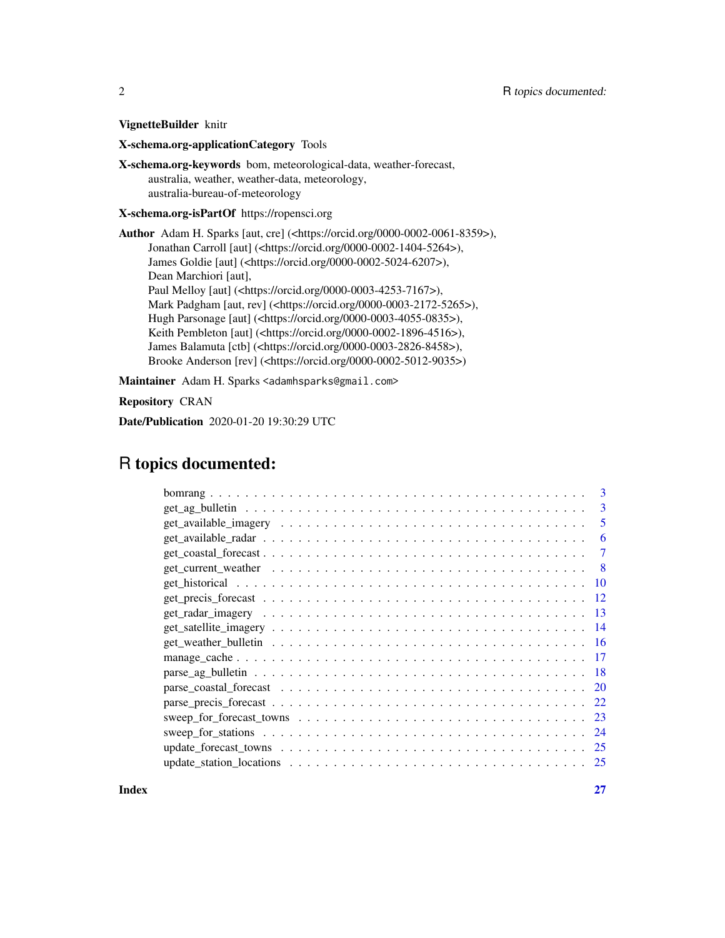VignetteBuilder knitr

X-schema.org-applicationCategory Tools

X-schema.org-keywords bom, meteorological-data, weather-forecast, australia, weather, weather-data, meteorology, australia-bureau-of-meteorology

X-schema.org-isPartOf https://ropensci.org

Author Adam H. Sparks [aut, cre] (<https://orcid.org/0000-0002-0061-8359>), Jonathan Carroll [aut] (<https://orcid.org/0000-0002-1404-5264>), James Goldie [aut] (<https://orcid.org/0000-0002-5024-6207>), Dean Marchiori [aut], Paul Melloy [aut] (<https://orcid.org/0000-0003-4253-7167>), Mark Padgham [aut, rev] (<https://orcid.org/0000-0003-2172-5265>), Hugh Parsonage [aut] (<https://orcid.org/0000-0003-4055-0835>), Keith Pembleton [aut] (<https://orcid.org/0000-0002-1896-4516>), James Balamuta [ctb] (<https://orcid.org/0000-0003-2826-8458>), Brooke Anderson [rev] (<https://orcid.org/0000-0002-5012-9035>)

Maintainer Adam H. Sparks <adamhsparks@gmail.com>

Repository CRAN

Date/Publication 2020-01-20 19:30:29 UTC

## R topics documented:

| 3                                                                                                                           |
|-----------------------------------------------------------------------------------------------------------------------------|
| 3                                                                                                                           |
| 5                                                                                                                           |
| 6                                                                                                                           |
| 7                                                                                                                           |
| -8                                                                                                                          |
| -10                                                                                                                         |
|                                                                                                                             |
| 13                                                                                                                          |
| 14                                                                                                                          |
| -16                                                                                                                         |
| -17                                                                                                                         |
| -18                                                                                                                         |
| <sup>20</sup>                                                                                                               |
| 22                                                                                                                          |
| sweep_for_forecast_towns $\dots \dots \dots \dots \dots \dots \dots \dots \dots \dots \dots \dots \dots \dots \dots$<br>-23 |
| -24                                                                                                                         |
| -25                                                                                                                         |
| 25                                                                                                                          |

**Index** [27](#page-26-0)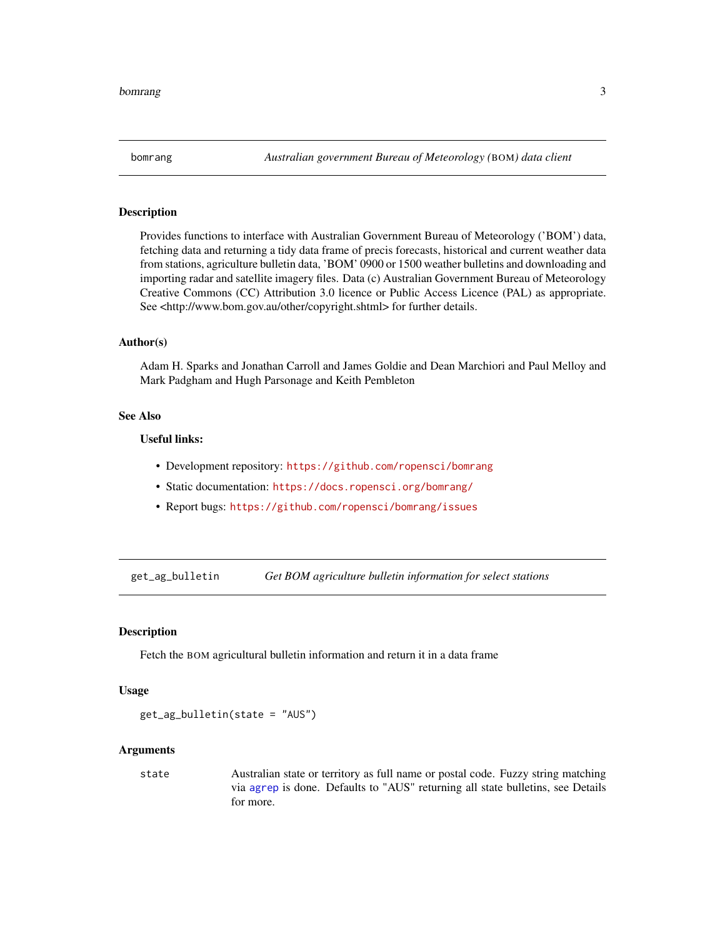<span id="page-2-0"></span>

## Description

Provides functions to interface with Australian Government Bureau of Meteorology ('BOM') data, fetching data and returning a tidy data frame of precis forecasts, historical and current weather data from stations, agriculture bulletin data, 'BOM' 0900 or 1500 weather bulletins and downloading and importing radar and satellite imagery files. Data (c) Australian Government Bureau of Meteorology Creative Commons (CC) Attribution 3.0 licence or Public Access Licence (PAL) as appropriate. See <http://www.bom.gov.au/other/copyright.shtml> for further details.

## Author(s)

Adam H. Sparks and Jonathan Carroll and James Goldie and Dean Marchiori and Paul Melloy and Mark Padgham and Hugh Parsonage and Keith Pembleton

## See Also

## Useful links:

- Development repository: <https://github.com/ropensci/bomrang>
- Static documentation: <https://docs.ropensci.org/bomrang/>
- Report bugs: <https://github.com/ropensci/bomrang/issues>

<span id="page-2-1"></span>get\_ag\_bulletin *Get BOM agriculture bulletin information for select stations*

## Description

Fetch the BOM agricultural bulletin information and return it in a data frame

#### Usage

```
get_ag_bulletin(state = "AUS")
```
#### Arguments

state Australian state or territory as full name or postal code. Fuzzy string matching via [agrep](#page-0-0) is done. Defaults to "AUS" returning all state bulletins, see Details for more.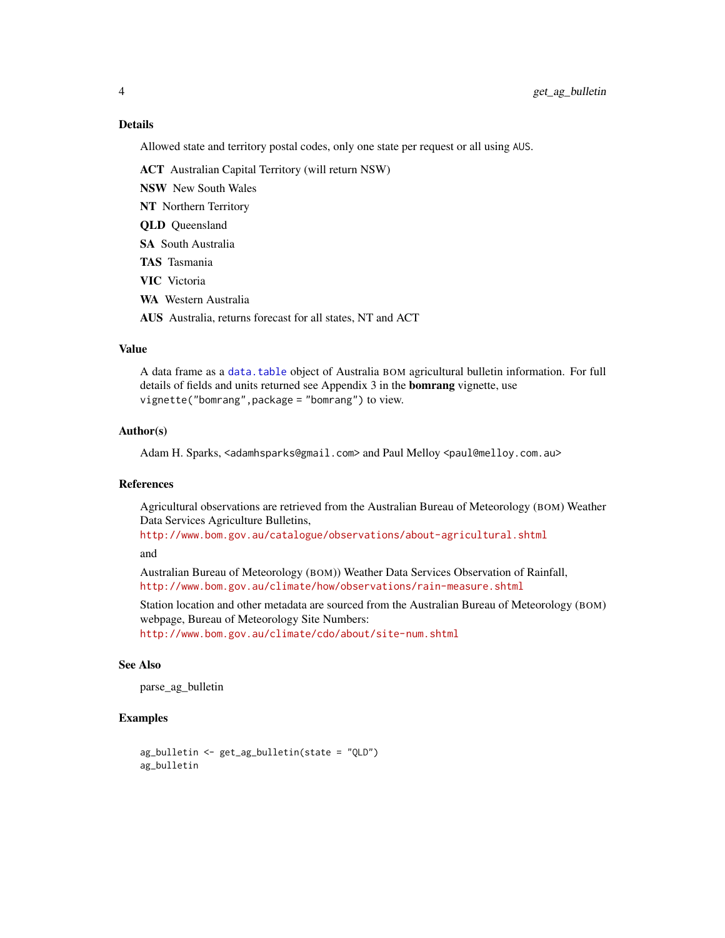## Details

Allowed state and territory postal codes, only one state per request or all using AUS.

ACT Australian Capital Territory (will return NSW)

NSW New South Wales

NT Northern Territory

QLD Queensland

SA South Australia

TAS Tasmania

VIC Victoria

WA Western Australia

AUS Australia, returns forecast for all states, NT and ACT

#### Value

A data frame as a [data.table](#page-0-0) object of Australia BOM agricultural bulletin information. For full details of fields and units returned see Appendix 3 in the **bomrang** vignette, use vignette("bomrang",package = "bomrang") to view.

#### Author(s)

Adam H. Sparks, <adamhsparks@gmail.com> and Paul Melloy <paul@melloy.com.au>

## References

Agricultural observations are retrieved from the Australian Bureau of Meteorology (BOM) Weather Data Services Agriculture Bulletins,

<http://www.bom.gov.au/catalogue/observations/about-agricultural.shtml>

and

Australian Bureau of Meteorology (BOM)) Weather Data Services Observation of Rainfall, <http://www.bom.gov.au/climate/how/observations/rain-measure.shtml>

Station location and other metadata are sourced from the Australian Bureau of Meteorology (BOM) webpage, Bureau of Meteorology Site Numbers: <http://www.bom.gov.au/climate/cdo/about/site-num.shtml>

## See Also

parse\_ag\_bulletin

#### Examples

```
ag_bulletin <- get_ag_bulletin(state = "QLD")
ag_bulletin
```
<span id="page-3-0"></span>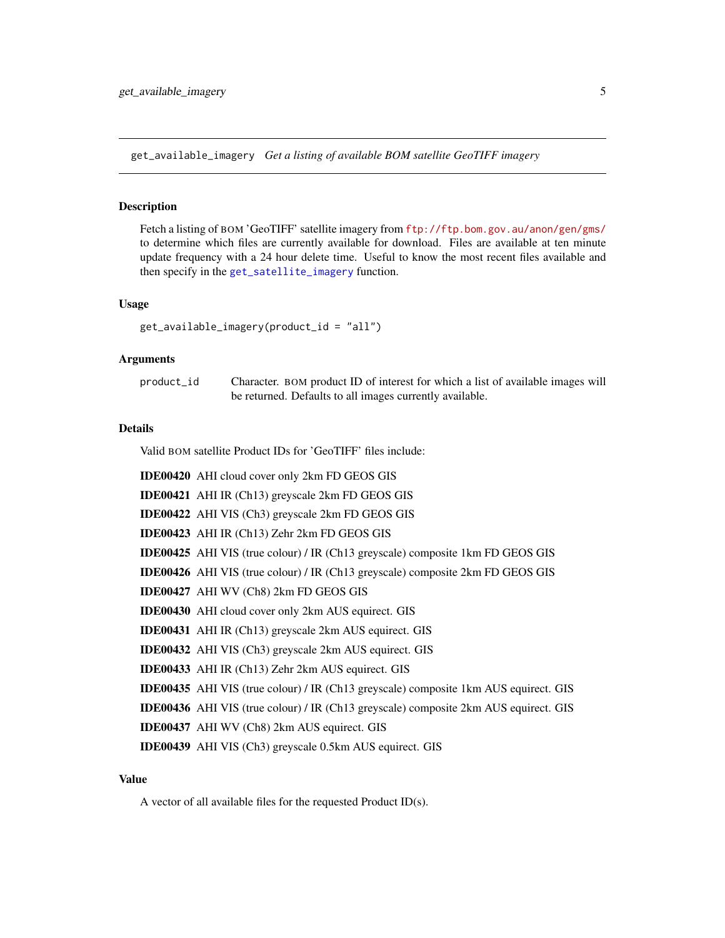<span id="page-4-1"></span><span id="page-4-0"></span>get\_available\_imagery *Get a listing of available BOM satellite GeoTIFF imagery*

## Description

Fetch a listing of BOM 'GeoTIFF' satellite imagery from <ftp://ftp.bom.gov.au/anon/gen/gms/> to determine which files are currently available for download. Files are available at ten minute update frequency with a 24 hour delete time. Useful to know the most recent files available and then specify in the [get\\_satellite\\_imagery](#page-13-1) function.

#### Usage

get\_available\_imagery(product\_id = "all")

## Arguments

| product_id | Character. BOM product ID of interest for which a list of available images will |
|------------|---------------------------------------------------------------------------------|
|            | be returned. Defaults to all images currently available.                        |

## Details

Valid BOM satellite Product IDs for 'GeoTIFF' files include:

| <b>IDE00420</b> AHI cloud cover only 2km FD GEOS GIS                                        |
|---------------------------------------------------------------------------------------------|
| <b>IDE00421</b> AHI IR (Ch13) greyscale 2km FD GEOS GIS                                     |
| <b>IDE00422</b> AHI VIS (Ch3) greyscale 2km FD GEOS GIS                                     |
| <b>IDE00423</b> AHI IR (Ch13) Zehr 2km FD GEOS GIS                                          |
| <b>IDE00425</b> AHI VIS (true colour) / IR (Ch13 greyscale) composite 1km FD GEOS GIS       |
| <b>IDE00426</b> AHI VIS (true colour) / IR (Ch13 greyscale) composite 2km FD GEOS GIS       |
| IDE00427 AHI WV (Ch8) 2km FD GEOS GIS                                                       |
| <b>IDE00430</b> AHI cloud cover only 2km AUS equirect. GIS                                  |
| <b>IDE00431</b> AHI IR (Ch13) greyscale 2km AUS equirect. GIS                               |
| <b>IDE00432</b> AHI VIS (Ch3) greyscale 2km AUS equirect. GIS                               |
| <b>IDE00433</b> AHI IR (Ch13) Zehr 2km AUS equirect. GIS                                    |
| <b>IDE00435</b> AHI VIS (true colour) / IR (Ch13 greyscale) composite 1km AUS equirect. GIS |
| <b>IDE00436</b> AHI VIS (true colour) / IR (Ch13 greyscale) composite 2km AUS equirect. GIS |
| <b>IDE00437</b> AHI WV (Ch8) 2km AUS equirect. GIS                                          |
| IDE00439 AHI VIS (Ch3) greyscale 0.5km AUS equirect. GIS                                    |

## Value

A vector of all available files for the requested Product ID(s).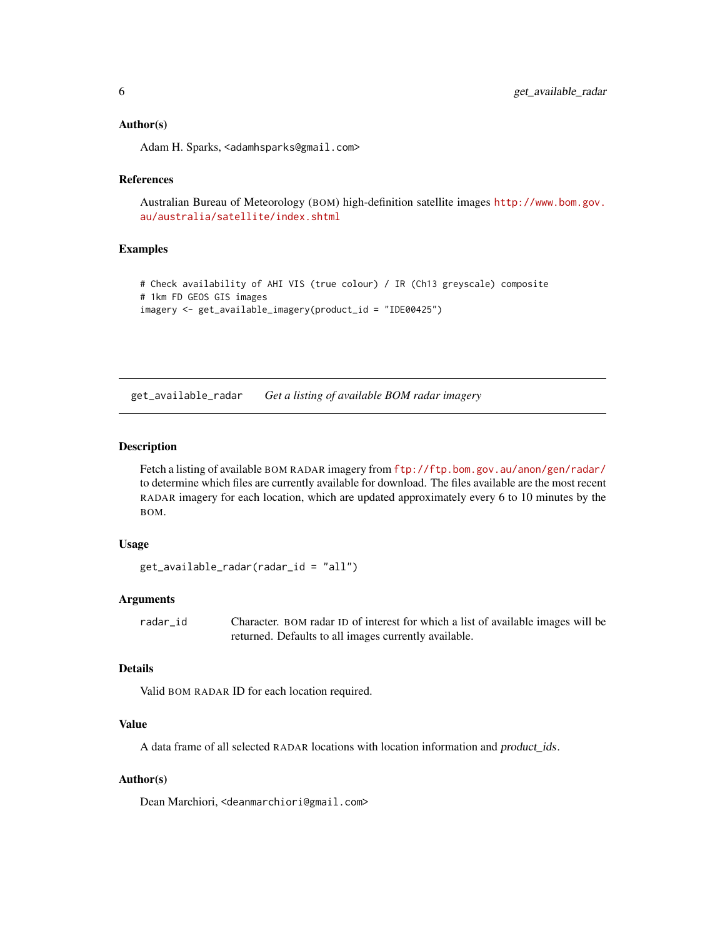## <span id="page-5-0"></span>Author(s)

Adam H. Sparks, <adamhsparks@gmail.com>

#### References

Australian Bureau of Meteorology (BOM) high-definition satellite images [http://www.bom.gov.](http://www.bom.gov.au/australia/satellite/index.shtml) [au/australia/satellite/index.shtml](http://www.bom.gov.au/australia/satellite/index.shtml)

## Examples

```
# Check availability of AHI VIS (true colour) / IR (Ch13 greyscale) composite
# 1km FD GEOS GIS images
imagery <- get_available_imagery(product_id = "IDE00425")
```
<span id="page-5-1"></span>get\_available\_radar *Get a listing of available BOM radar imagery*

## Description

Fetch a listing of available BOM RADAR imagery from <ftp://ftp.bom.gov.au/anon/gen/radar/> to determine which files are currently available for download. The files available are the most recent RADAR imagery for each location, which are updated approximately every 6 to 10 minutes by the BOM.

## Usage

```
get_available_radar(radar_id = "all")
```
#### Arguments

radar\_id Character. BOM radar ID of interest for which a list of available images will be returned. Defaults to all images currently available.

## Details

Valid BOM RADAR ID for each location required.

## Value

A data frame of all selected RADAR locations with location information and product\_ids.

## Author(s)

Dean Marchiori, <deanmarchiori@gmail.com>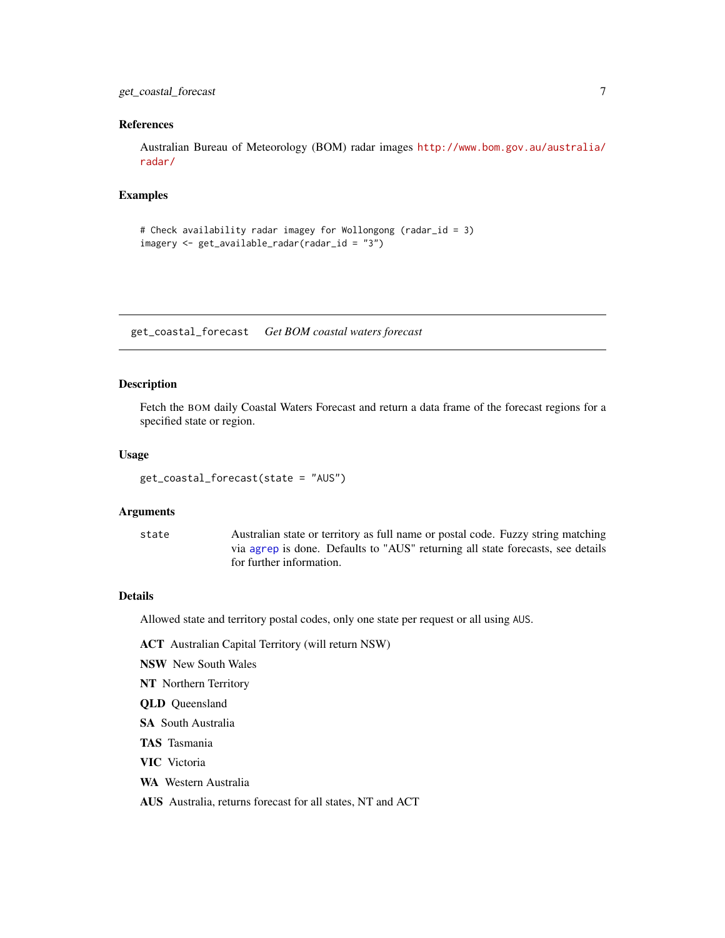## <span id="page-6-0"></span>get\_coastal\_forecast 7

## References

Australian Bureau of Meteorology (BOM) radar images [http://www.bom.gov.au/australia/](http://www.bom.gov.au/australia/radar/) [radar/](http://www.bom.gov.au/australia/radar/)

## Examples

```
# Check availability radar imagey for Wollongong (radar_id = 3)
imagery <- get_available_radar(radar_id = "3")
```
get\_coastal\_forecast *Get BOM coastal waters forecast*

## Description

Fetch the BOM daily Coastal Waters Forecast and return a data frame of the forecast regions for a specified state or region.

#### Usage

get\_coastal\_forecast(state = "AUS")

#### Arguments

state Australian state or territory as full name or postal code. Fuzzy string matching via [agrep](#page-0-0) is done. Defaults to "AUS" returning all state forecasts, see details for further information.

#### Details

Allowed state and territory postal codes, only one state per request or all using AUS.

- ACT Australian Capital Territory (will return NSW)
- NSW New South Wales
- NT Northern Territory
- QLD Queensland
- SA South Australia
- TAS Tasmania
- VIC Victoria
- WA Western Australia

AUS Australia, returns forecast for all states, NT and ACT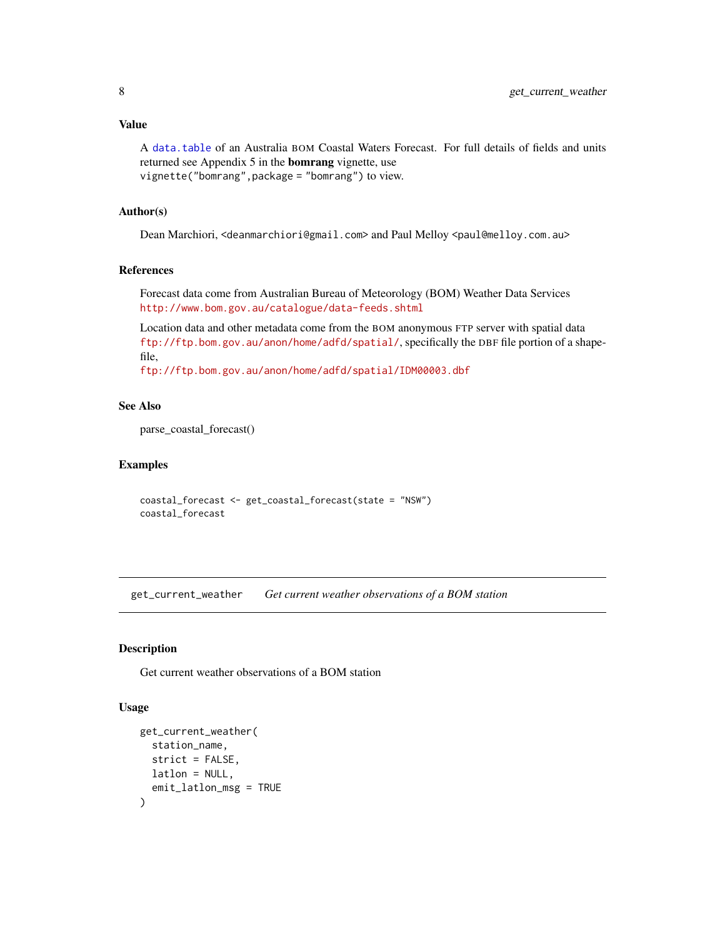## <span id="page-7-0"></span>Value

A [data.table](#page-0-0) of an Australia BOM Coastal Waters Forecast. For full details of fields and units returned see Appendix 5 in the bomrang vignette, use vignette("bomrang",package = "bomrang") to view.

## Author(s)

Dean Marchiori, <deanmarchiori@gmail.com> and Paul Melloy <paul@melloy.com.au>

## References

Forecast data come from Australian Bureau of Meteorology (BOM) Weather Data Services <http://www.bom.gov.au/catalogue/data-feeds.shtml>

Location data and other metadata come from the BOM anonymous FTP server with spatial data <ftp://ftp.bom.gov.au/anon/home/adfd/spatial/>, specifically the DBF file portion of a shapefile,

<ftp://ftp.bom.gov.au/anon/home/adfd/spatial/IDM00003.dbf>

## See Also

parse\_coastal\_forecast()

## Examples

```
coastal_forecast <- get_coastal_forecast(state = "NSW")
coastal_forecast
```
<span id="page-7-1"></span>get\_current\_weather *Get current weather observations of a BOM station*

## Description

Get current weather observations of a BOM station

## Usage

```
get_current_weather(
 station_name,
  strict = FALSE,
 latlon = NULL,
  emit_latlon_msg = TRUE
)
```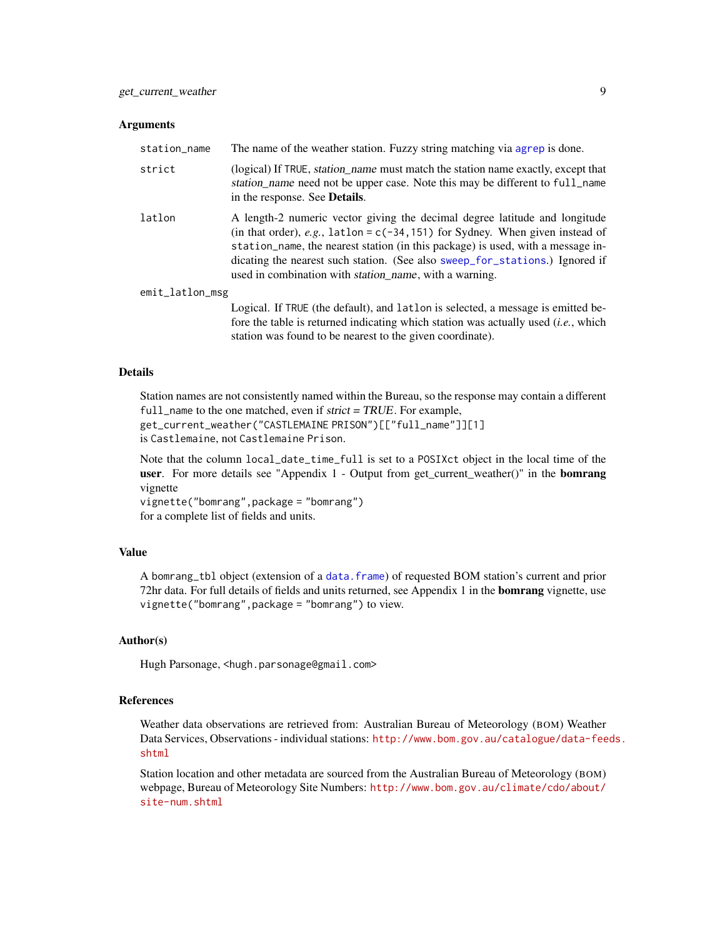#### <span id="page-8-0"></span>**Arguments**

| station_name    | The name of the weather station. Fuzzy string matching via agrep is done.                                                                                                                                                                                                                                                                                                                           |
|-----------------|-----------------------------------------------------------------------------------------------------------------------------------------------------------------------------------------------------------------------------------------------------------------------------------------------------------------------------------------------------------------------------------------------------|
| strict          | (logical) If TRUE, <i>station_name</i> must match the station name exactly, except that<br>station name need not be upper case. Note this may be different to full_name<br>in the response. See <b>Details</b> .                                                                                                                                                                                    |
| latlon          | A length-2 numeric vector giving the decimal degree latitude and longitude<br>(in that order), e.g., $l$ atlon = c(-34, 151) for Sydney. When given instead of<br>station name, the nearest station (in this package) is used, with a message in-<br>dicating the nearest such station. (See also sweep_for_stations.) Ignored if<br>used in combination with <i>station_name</i> , with a warning. |
| emit_latlon_msg |                                                                                                                                                                                                                                                                                                                                                                                                     |
|                 | Logical. If TRUE (the default), and lattlon is selected, a message is emitted be-                                                                                                                                                                                                                                                                                                                   |
|                 | fore the table is returned indicating which station was actually used <i>(i.e., which</i>                                                                                                                                                                                                                                                                                                           |
|                 | station was found to be nearest to the given coordinate).                                                                                                                                                                                                                                                                                                                                           |

## Details

Station names are not consistently named within the Bureau, so the response may contain a different full\_name to the one matched, even if strict = TRUE. For example, get\_current\_weather("CASTLEMAINE PRISON")[["full\_name"]][1] is Castlemaine, not Castlemaine Prison.

Note that the column local\_date\_time\_full is set to a POSIXct object in the local time of the user. For more details see "Appendix 1 - Output from get\_current\_weather()" in the **bomrang** vignette

vignette("bomrang",package = "bomrang") for a complete list of fields and units.

## Value

A bomrang\_tbl object (extension of a [data.frame](#page-0-0)) of requested BOM station's current and prior 72hr data. For full details of fields and units returned, see Appendix 1 in the **bomrang** vignette, use vignette("bomrang",package = "bomrang") to view.

#### Author(s)

Hugh Parsonage, <hugh.parsonage@gmail.com>

## References

Weather data observations are retrieved from: Australian Bureau of Meteorology (BOM) Weather Data Services, Observations - individual stations: [http://www.bom.gov.au/catalogue/data-fee](http://www.bom.gov.au/catalogue/data-feeds.shtml)ds. [shtml](http://www.bom.gov.au/catalogue/data-feeds.shtml)

Station location and other metadata are sourced from the Australian Bureau of Meteorology (BOM) webpage, Bureau of Meteorology Site Numbers: [http://www.bom.gov.au/climate/cdo/about/](http://www.bom.gov.au/climate/cdo/about/site-num.shtml) [site-num.shtml](http://www.bom.gov.au/climate/cdo/about/site-num.shtml)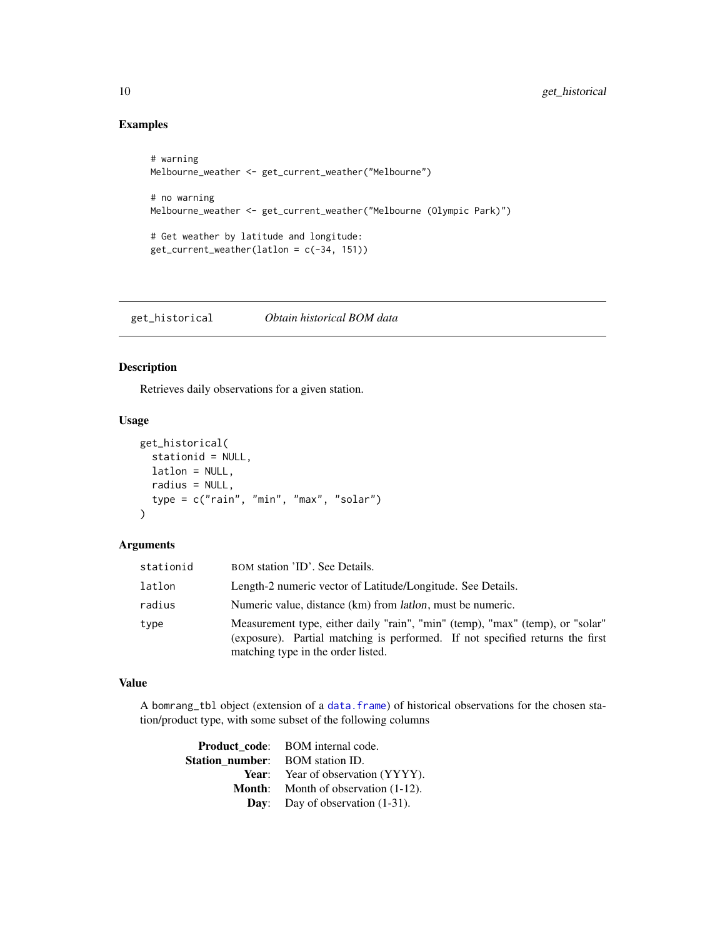## Examples

```
# warning
Melbourne_weather <- get_current_weather("Melbourne")
# no warning
Melbourne_weather <- get_current_weather("Melbourne (Olympic Park)")
# Get weather by latitude and longitude:
get_current_weather(latlon = c(-34, 151))
```
<span id="page-9-1"></span>get\_historical *Obtain historical BOM data*

## Description

Retrieves daily observations for a given station.

## Usage

```
get_historical(
  stationid = NULL,
 latlon = NULL,
 radius = NULL,
  type = c("rain", "min", "max", "solar")
\lambda
```
## Arguments

| stationid | BOM station 'ID'. See Details.                                                                                                                                                                       |
|-----------|------------------------------------------------------------------------------------------------------------------------------------------------------------------------------------------------------|
| latlon    | Length-2 numeric vector of Latitude/Longitude. See Details.                                                                                                                                          |
| radius    | Numeric value, distance (km) from <i>lation</i> , must be numeric.                                                                                                                                   |
| type      | Measurement type, either daily "rain", "min" (temp), "max" (temp), or "solar"<br>(exposure). Partial matching is performed. If not specified returns the first<br>matching type in the order listed. |

## Value

A bomrang\_tbl object (extension of a [data.frame](#page-0-0)) of historical observations for the chosen station/product type, with some subset of the following columns

|                                        | <b>Product code:</b> BOM internal code.       |
|----------------------------------------|-----------------------------------------------|
| <b>Station number:</b> BOM station ID. |                                               |
|                                        | <b>Year:</b> Year of observation (YYYY).      |
|                                        | <b>Month:</b> Month of observation $(1-12)$ . |
|                                        | <b>Day:</b> Day of observation $(1-31)$ .     |

<span id="page-9-0"></span>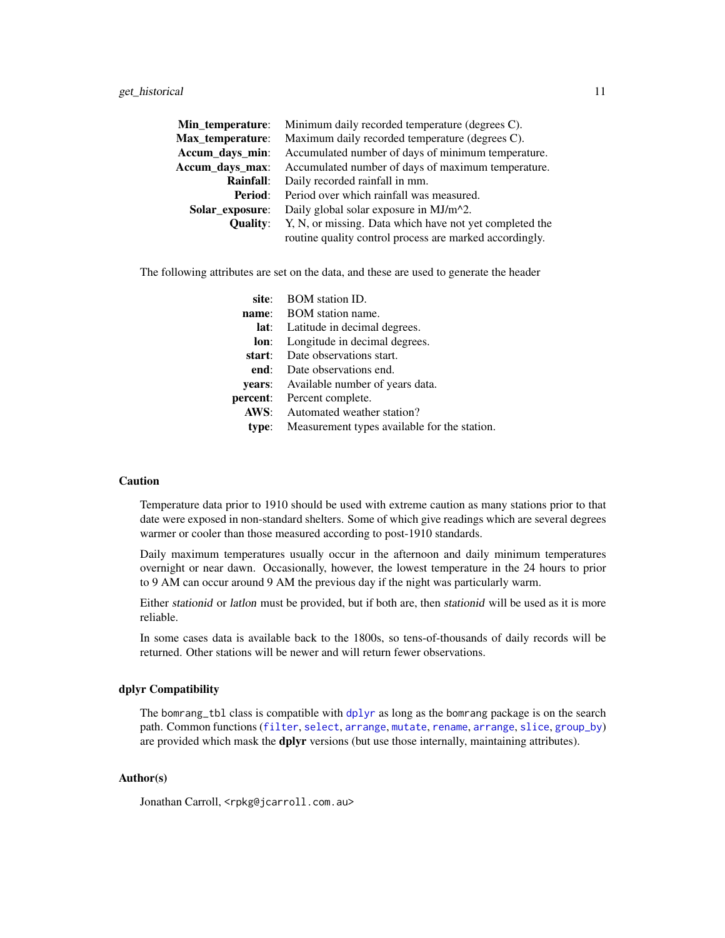<span id="page-10-0"></span>

| Min_temperature: | Minimum daily recorded temperature (degrees C).         |
|------------------|---------------------------------------------------------|
| Max temperature: | Maximum daily recorded temperature (degrees C).         |
| Accum_days_min:  | Accumulated number of days of minimum temperature.      |
| Accum_days_max:  | Accumulated number of days of maximum temperature.      |
| Rainfall:        | Daily recorded rainfall in mm.                          |
| Period:          | Period over which rainfall was measured.                |
| Solar exposure:  | Daily global solar exposure in MJ/m^2.                  |
| <b>Ouality:</b>  | Y, N, or missing. Data which have not yet completed the |
|                  | routine quality control process are marked accordingly. |

The following attributes are set on the data, and these are used to generate the header

|        | site: BOM station ID.                        |
|--------|----------------------------------------------|
| name:  | <b>BOM</b> station name.                     |
|        | <b>lat:</b> Latitude in decimal degrees.     |
| lon:   | Longitude in decimal degrees.                |
|        | start: Date observations start.              |
| end:   | Date observations end.                       |
| vears: | Available number of years data.              |
|        | percent: Percent complete.                   |
|        | <b>AWS:</b> Automated weather station?       |
| type:  | Measurement types available for the station. |

## **Caution**

Temperature data prior to 1910 should be used with extreme caution as many stations prior to that date were exposed in non-standard shelters. Some of which give readings which are several degrees warmer or cooler than those measured according to post-1910 standards.

Daily maximum temperatures usually occur in the afternoon and daily minimum temperatures overnight or near dawn. Occasionally, however, the lowest temperature in the 24 hours to prior to 9 AM can occur around 9 AM the previous day if the night was particularly warm.

Either stationid or latlon must be provided, but if both are, then stationid will be used as it is more reliable.

In some cases data is available back to the 1800s, so tens-of-thousands of daily records will be returned. Other stations will be newer and will return fewer observations.

#### dplyr Compatibility

The bomrang\_tbl class is compatible with [dplyr](#page-0-0) as long as the bomrang package is on the search path. Common functions ([filter](#page-0-0), [select](#page-0-0), [arrange](#page-0-0), [mutate](#page-0-0), [rename](#page-0-0), [arrange](#page-0-0), [slice](#page-0-0), [group\\_by](#page-0-0)) are provided which mask the **dplyr** versions (but use those internally, maintaining attributes).

## Author(s)

Jonathan Carroll, <rpkg@jcarroll.com.au>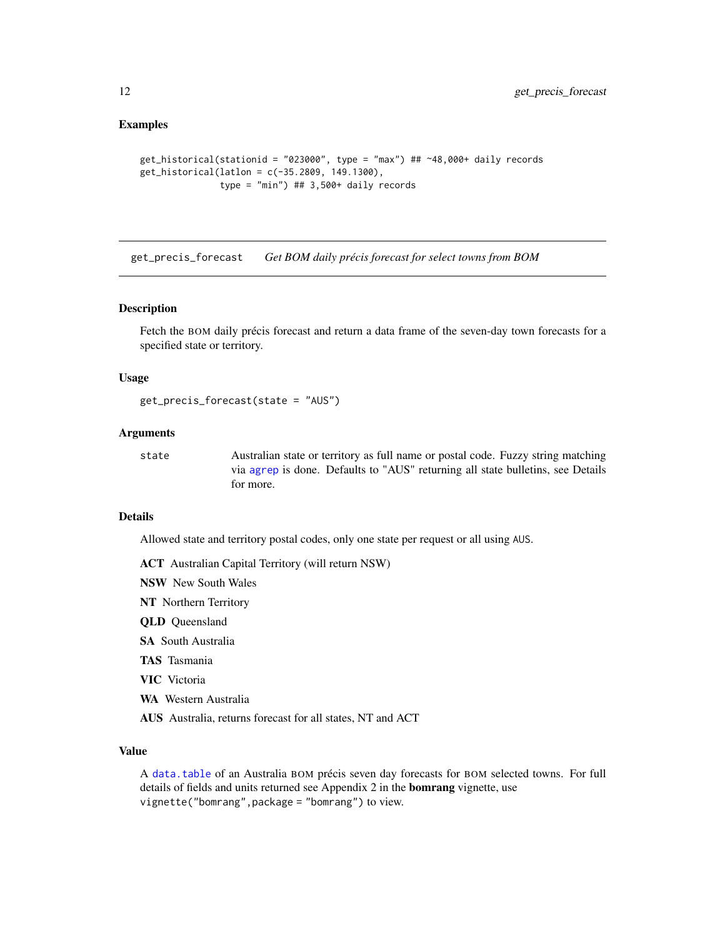## <span id="page-11-0"></span>Examples

```
get_historical(stationid = "023000", type = "max") ## ~48,000+ daily records
get_historical(latlon = c(-35.2809, 149.1300),
               type = "min") ## 3,500+ daily records
```
<span id="page-11-1"></span>get\_precis\_forecast *Get BOM daily précis forecast for select towns from BOM*

#### Description

Fetch the BOM daily précis forecast and return a data frame of the seven-day town forecasts for a specified state or territory.

## Usage

```
get_precis_forecast(state = "AUS")
```
## Arguments

state Australian state or territory as full name or postal code. Fuzzy string matching via [agrep](#page-0-0) is done. Defaults to "AUS" returning all state bulletins, see Details for more.

## Details

Allowed state and territory postal codes, only one state per request or all using AUS.

- ACT Australian Capital Territory (will return NSW)
- NSW New South Wales
- NT Northern Territory
- QLD Queensland
- SA South Australia
- TAS Tasmania
- VIC Victoria
- WA Western Australia
- AUS Australia, returns forecast for all states, NT and ACT

## Value

A [data.table](#page-0-0) of an Australia BOM précis seven day forecasts for BOM selected towns. For full details of fields and units returned see Appendix 2 in the **bomrang** vignette, use vignette("bomrang",package = "bomrang") to view.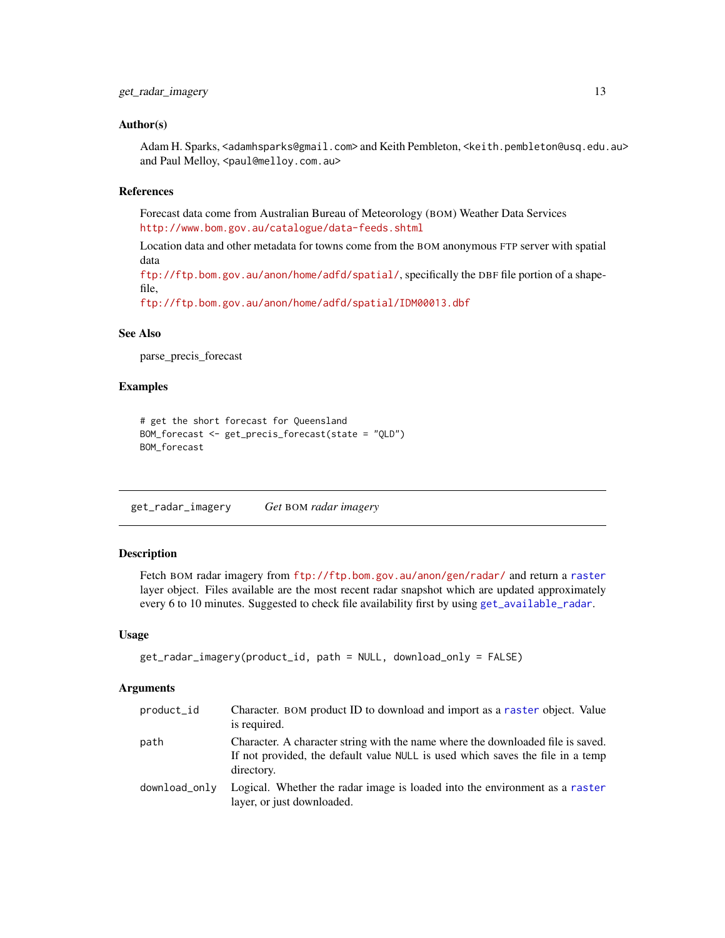#### <span id="page-12-0"></span>Author(s)

Adam H. Sparks, <adamhsparks@gmail.com> and Keith Pembleton, <keith.pembleton@usq.edu.au> and Paul Melloy, <paul@melloy.com.au>

## References

Forecast data come from Australian Bureau of Meteorology (BOM) Weather Data Services <http://www.bom.gov.au/catalogue/data-feeds.shtml>

Location data and other metadata for towns come from the BOM anonymous FTP server with spatial data

<ftp://ftp.bom.gov.au/anon/home/adfd/spatial/>, specifically the DBF file portion of a shapefile,

<ftp://ftp.bom.gov.au/anon/home/adfd/spatial/IDM00013.dbf>

## See Also

parse\_precis\_forecast

#### Examples

```
# get the short forecast for Queensland
BOM_forecast <- get_precis_forecast(state = "QLD")
BOM_forecast
```
get\_radar\_imagery *Get* BOM *radar imagery*

## Description

Fetch BOM radar imagery from <ftp://ftp.bom.gov.au/anon/gen/radar/> and return a [raster](#page-0-0) layer object. Files available are the most recent radar snapshot which are updated approximately every 6 to 10 minutes. Suggested to check file availability first by using [get\\_available\\_radar](#page-5-1).

#### Usage

```
get_radar_imagery(product_id, path = NULL, download_only = FALSE)
```
## Arguments

| product_id    | Character. BOM product ID to download and import as a raster object. Value<br>is required.                                                                                      |
|---------------|---------------------------------------------------------------------------------------------------------------------------------------------------------------------------------|
| path          | Character. A character string with the name where the downloaded file is saved.<br>If not provided, the default value NULL is used which saves the file in a temp<br>directory. |
| download onlv | Logical. Whether the radar image is loaded into the environment as a raster<br>layer, or just downloaded.                                                                       |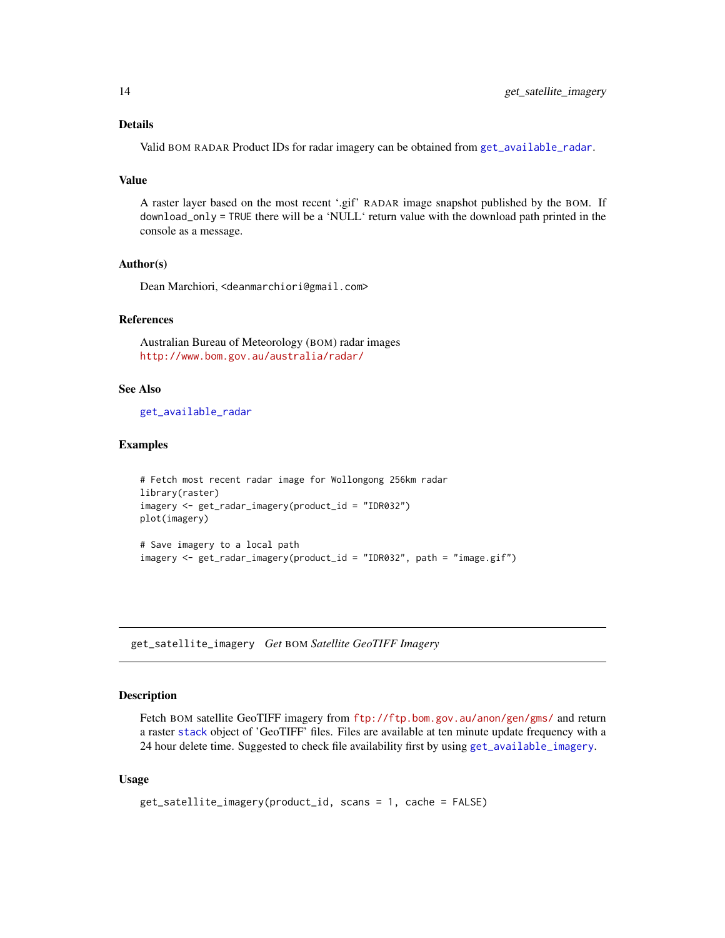## <span id="page-13-0"></span>Details

Valid BOM RADAR Product IDs for radar imagery can be obtained from [get\\_available\\_radar](#page-5-1).

## Value

A raster layer based on the most recent '.gif' RADAR image snapshot published by the BOM. If download\_only = TRUE there will be a 'NULL' return value with the download path printed in the console as a message.

### Author(s)

Dean Marchiori, <deanmarchiori@gmail.com>

## References

Australian Bureau of Meteorology (BOM) radar images <http://www.bom.gov.au/australia/radar/>

## See Also

[get\\_available\\_radar](#page-5-1)

#### Examples

```
# Fetch most recent radar image for Wollongong 256km radar
library(raster)
imagery <- get_radar_imagery(product_id = "IDR032")
plot(imagery)
# Save imagery to a local path
```
imagery <- get\_radar\_imagery(product\_id = "IDR032", path = "image.gif")

<span id="page-13-1"></span>get\_satellite\_imagery *Get* BOM *Satellite GeoTIFF Imagery*

#### Description

Fetch BOM satellite GeoTIFF imagery from <ftp://ftp.bom.gov.au/anon/gen/gms/> and return a raster [stack](#page-0-0) object of 'GeoTIFF' files. Files are available at ten minute update frequency with a 24 hour delete time. Suggested to check file availability first by using [get\\_available\\_imagery](#page-4-1).

## Usage

```
get_satellite_imagery(product_id, scans = 1, cache = FALSE)
```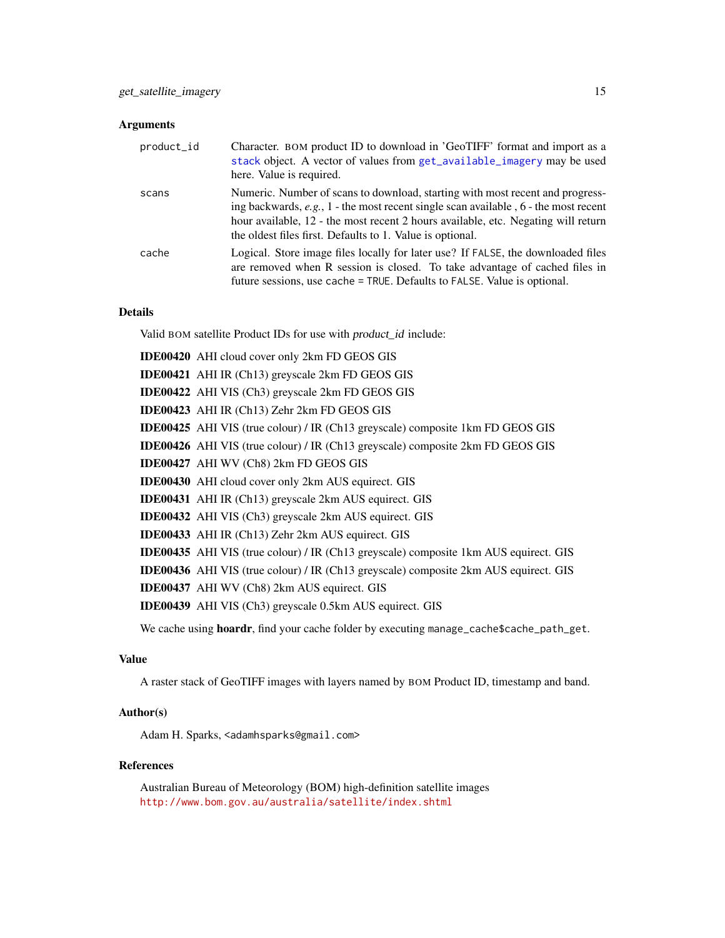## <span id="page-14-0"></span>Arguments

| product_id | Character. BOM product ID to download in 'GeoTIFF' format and import as a<br>stack object. A vector of values from get_available_imagery may be used<br>here. Value is required.                                                                                                                                           |
|------------|----------------------------------------------------------------------------------------------------------------------------------------------------------------------------------------------------------------------------------------------------------------------------------------------------------------------------|
| scans      | Numeric. Number of scans to download, starting with most recent and progress-<br>ing backwards, $e.g., 1$ - the most recent single scan available, $6$ - the most recent<br>hour available, 12 - the most recent 2 hours available, etc. Negating will return<br>the oldest files first. Defaults to 1. Value is optional. |
| cache      | Logical. Store image files locally for later use? If FALSE, the downloaded files<br>are removed when R session is closed. To take advantage of cached files in<br>future sessions, use cache = TRUE. Defaults to FALSE. Value is optional.                                                                                 |

## Details

Valid BOM satellite Product IDs for use with product\_id include:

| <b>IDE00420</b> AHI cloud cover only 2km FD GEOS GIS                                        |
|---------------------------------------------------------------------------------------------|
| <b>IDE00421</b> AHI IR (Ch13) greyscale 2km FD GEOS GIS                                     |
| <b>IDE00422</b> AHI VIS (Ch3) greyscale 2km FD GEOS GIS                                     |
| IDE00423 AHI IR (Ch13) Zehr 2km FD GEOS GIS                                                 |
| <b>IDE00425</b> AHI VIS (true colour) / IR (Ch13 greyscale) composite 1km FD GEOS GIS       |
| <b>IDE00426</b> AHI VIS (true colour) / IR (Ch13 greyscale) composite 2km FD GEOS GIS       |
| <b>IDE00427</b> AHI WV (Ch8) 2km FD GEOS GIS                                                |
| <b>IDE00430</b> AHI cloud cover only 2km AUS equirect. GIS                                  |
| <b>IDE00431</b> AHI IR (Ch13) greyscale 2km AUS equirect. GIS                               |
| <b>IDE00432</b> AHI VIS (Ch3) greyscale 2km AUS equirect. GIS                               |
| <b>IDE00433</b> AHI IR (Ch13) Zehr 2km AUS equirect. GIS                                    |
| <b>IDE00435</b> AHI VIS (true colour) / IR (Ch13 greyscale) composite 1km AUS equirect. GIS |
| <b>IDE00436</b> AHI VIS (true colour) / IR (Ch13 greyscale) composite 2km AUS equirect. GIS |
| IDE00437 AHI WV (Ch8) 2km AUS equirect. GIS                                                 |
| <b>IDE00439</b> AHI VIS (Ch3) greyscale 0.5km AUS equirect. GIS                             |
|                                                                                             |

We cache using hoardr, find your cache folder by executing manage\_cache\$cache\_path\_get.

## Value

A raster stack of GeoTIFF images with layers named by BOM Product ID, timestamp and band.

## Author(s)

Adam H. Sparks, <adamhsparks@gmail.com>

#### References

Australian Bureau of Meteorology (BOM) high-definition satellite images <http://www.bom.gov.au/australia/satellite/index.shtml>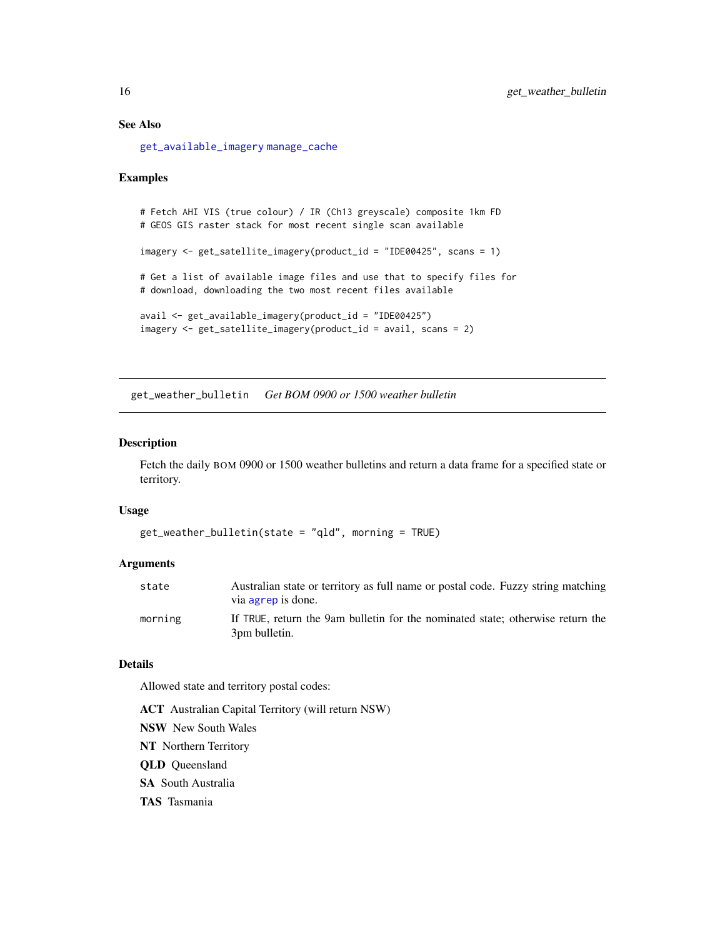## See Also

[get\\_available\\_imagery](#page-4-1) [manage\\_cache](#page-16-1)

#### Examples

```
# Fetch AHI VIS (true colour) / IR (Ch13 greyscale) composite 1km FD
# GEOS GIS raster stack for most recent single scan available
imagery <- get_satellite_imagery(product_id = "IDE00425", scans = 1)
# Get a list of available image files and use that to specify files for
# download, downloading the two most recent files available
avail <- get_available_imagery(product_id = "IDE00425")
imagery <- get_satellite_imagery(product_id = avail, scans = 2)
```
get\_weather\_bulletin *Get BOM 0900 or 1500 weather bulletin*

## Description

Fetch the daily BOM 0900 or 1500 weather bulletins and return a data frame for a specified state or territory.

## Usage

```
get_weather_bulletin(state = "qld", morning = TRUE)
```
## Arguments

| state   | Australian state or territory as full name or postal code. Fuzzy string matching                |
|---------|-------------------------------------------------------------------------------------------------|
|         | via agrep is done.                                                                              |
| morning | If TRUE, return the 9am bulletin for the nominated state: otherwise return the<br>3pm bulletin. |

## Details

Allowed state and territory postal codes:

ACT Australian Capital Territory (will return NSW) NSW New South Wales NT Northern Territory QLD Queensland SA South Australia TAS Tasmania

<span id="page-15-0"></span>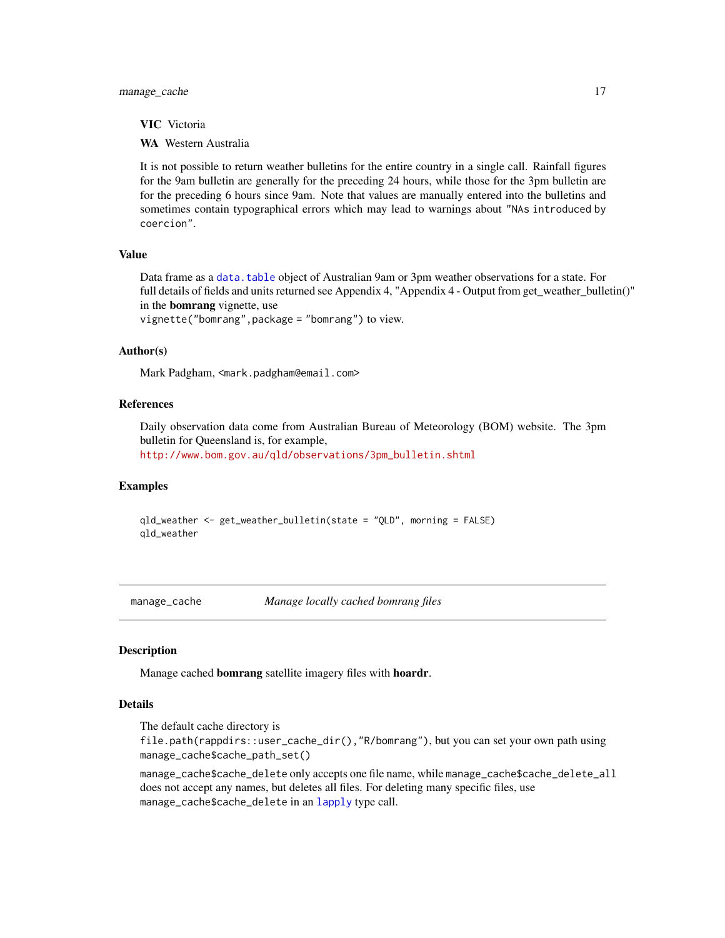<span id="page-16-0"></span>VIC Victoria

WA Western Australia

It is not possible to return weather bulletins for the entire country in a single call. Rainfall figures for the 9am bulletin are generally for the preceding 24 hours, while those for the 3pm bulletin are for the preceding 6 hours since 9am. Note that values are manually entered into the bulletins and sometimes contain typographical errors which may lead to warnings about "NAs introduced by coercion".

## Value

Data frame as a [data.table](#page-0-0) object of Australian 9am or 3pm weather observations for a state. For full details of fields and units returned see Appendix 4, "Appendix 4 - Output from get\_weather\_bulletin()" in the bomrang vignette, use

vignette("bomrang",package = "bomrang") to view.

#### Author(s)

Mark Padgham, <mark.padgham@email.com>

## References

Daily observation data come from Australian Bureau of Meteorology (BOM) website. The 3pm bulletin for Queensland is, for example,

[http://www.bom.gov.au/qld/observations/3pm\\_bulletin.shtml](http://www.bom.gov.au/qld/observations/3pm_bulletin.shtml)

#### Examples

qld\_weather <- get\_weather\_bulletin(state = "QLD", morning = FALSE) qld\_weather

<span id="page-16-1"></span>manage\_cache *Manage locally cached bomrang files*

## Description

Manage cached bomrang satellite imagery files with hoardr.

### Details

The default cache directory is

file.path(rappdirs::user\_cache\_dir(),"R/bomrang"), but you can set your own path using manage\_cache\$cache\_path\_set()

manage\_cache\$cache\_delete only accepts one file name, while manage\_cache\$cache\_delete\_all does not accept any names, but deletes all files. For deleting many specific files, use manage\_cache\$cache\_delete in an [lapply](#page-0-0) type call.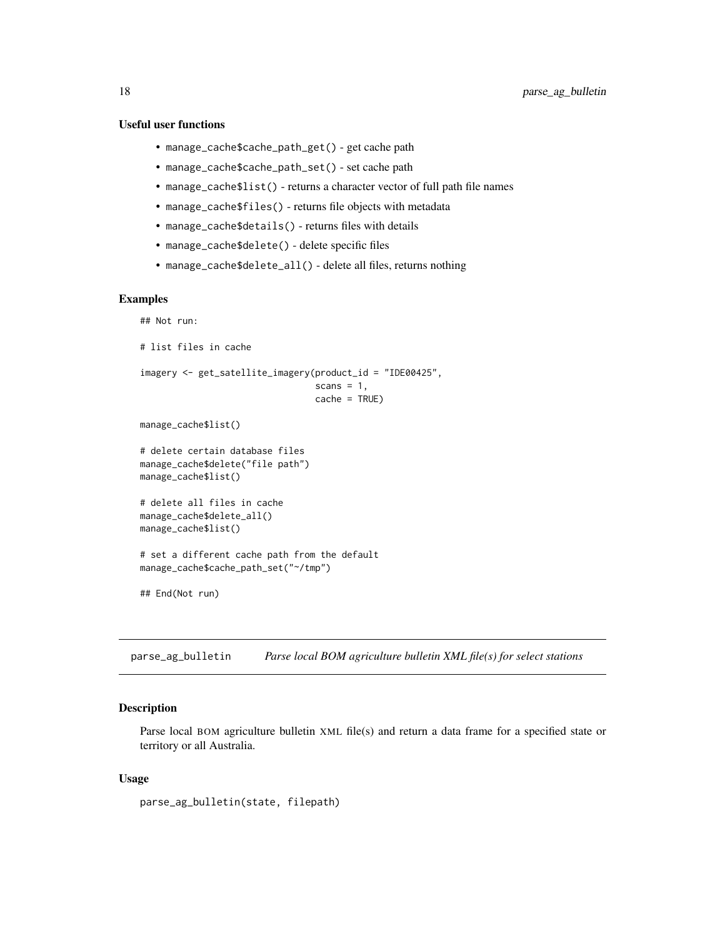## <span id="page-17-0"></span>Useful user functions

- manage\_cache\$cache\_path\_get() get cache path
- manage\_cache\$cache\_path\_set() set cache path
- manage\_cache\$list() returns a character vector of full path file names
- manage\_cache\$files() returns file objects with metadata
- manage\_cache\$details() returns files with details
- manage\_cache\$delete() delete specific files
- manage\_cache\$delete\_all() delete all files, returns nothing

## Examples

```
## Not run:
# list files in cache
imagery <- get_satellite_imagery(product_id = "IDE00425",
                                 scans = 1,
                                 cache = TRUE)
manage_cache$list()
# delete certain database files
manage_cache$delete("file path")
manage_cache$list()
# delete all files in cache
manage_cache$delete_all()
manage_cache$list()
# set a different cache path from the default
manage_cache$cache_path_set("~/tmp")
## End(Not run)
```
parse\_ag\_bulletin *Parse local BOM agriculture bulletin XML file(s) for select stations*

#### Description

Parse local BOM agriculture bulletin XML file(s) and return a data frame for a specified state or territory or all Australia.

## Usage

```
parse_ag_bulletin(state, filepath)
```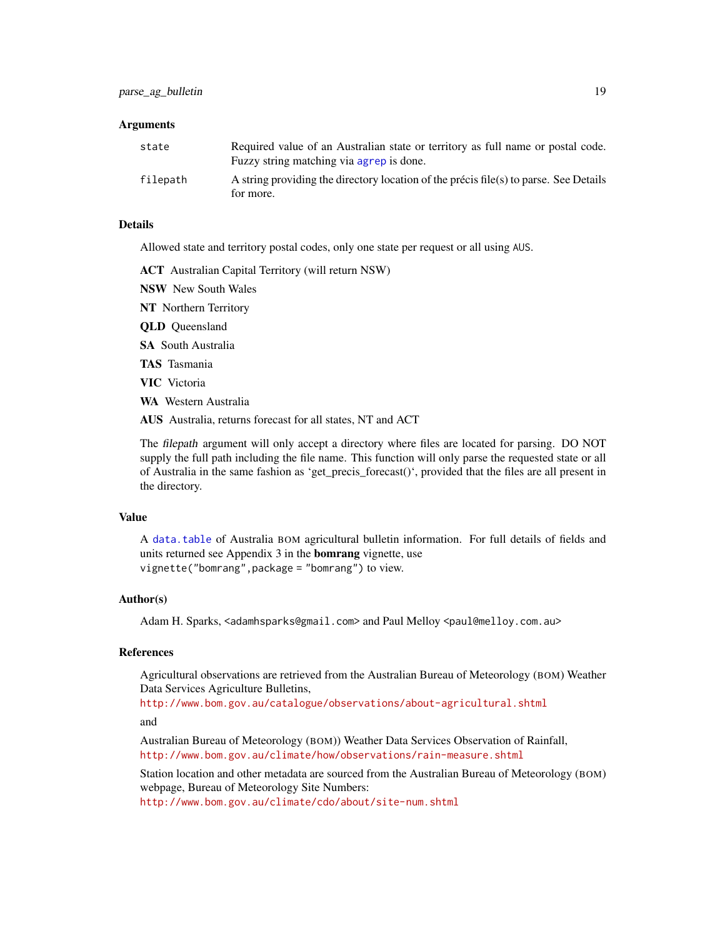## <span id="page-18-0"></span>Arguments

| state    | Required value of an Australian state or territory as full name or postal code.<br>Fuzzy string matching via agrep is done. |
|----------|-----------------------------------------------------------------------------------------------------------------------------|
| filepath | A string providing the directory location of the précis file(s) to parse. See Details<br>for more.                          |

#### Details

Allowed state and territory postal codes, only one state per request or all using AUS.

ACT Australian Capital Territory (will return NSW)

NSW New South Wales

NT Northern Territory

QLD Queensland

SA South Australia

TAS Tasmania

VIC Victoria

WA Western Australia

AUS Australia, returns forecast for all states, NT and ACT

The filepath argument will only accept a directory where files are located for parsing. DO NOT supply the full path including the file name. This function will only parse the requested state or all of Australia in the same fashion as 'get\_precis\_forecast()', provided that the files are all present in the directory.

## Value

A [data.table](#page-0-0) of Australia BOM agricultural bulletin information. For full details of fields and units returned see Appendix 3 in the **bomrang** vignette, use vignette("bomrang",package = "bomrang") to view.

## Author(s)

Adam H. Sparks, <adamhsparks@gmail.com> and Paul Melloy <paul@melloy.com.au>

## References

Agricultural observations are retrieved from the Australian Bureau of Meteorology (BOM) Weather Data Services Agriculture Bulletins,

<http://www.bom.gov.au/catalogue/observations/about-agricultural.shtml> and

Australian Bureau of Meteorology (BOM)) Weather Data Services Observation of Rainfall, <http://www.bom.gov.au/climate/how/observations/rain-measure.shtml>

Station location and other metadata are sourced from the Australian Bureau of Meteorology (BOM) webpage, Bureau of Meteorology Site Numbers:

<http://www.bom.gov.au/climate/cdo/about/site-num.shtml>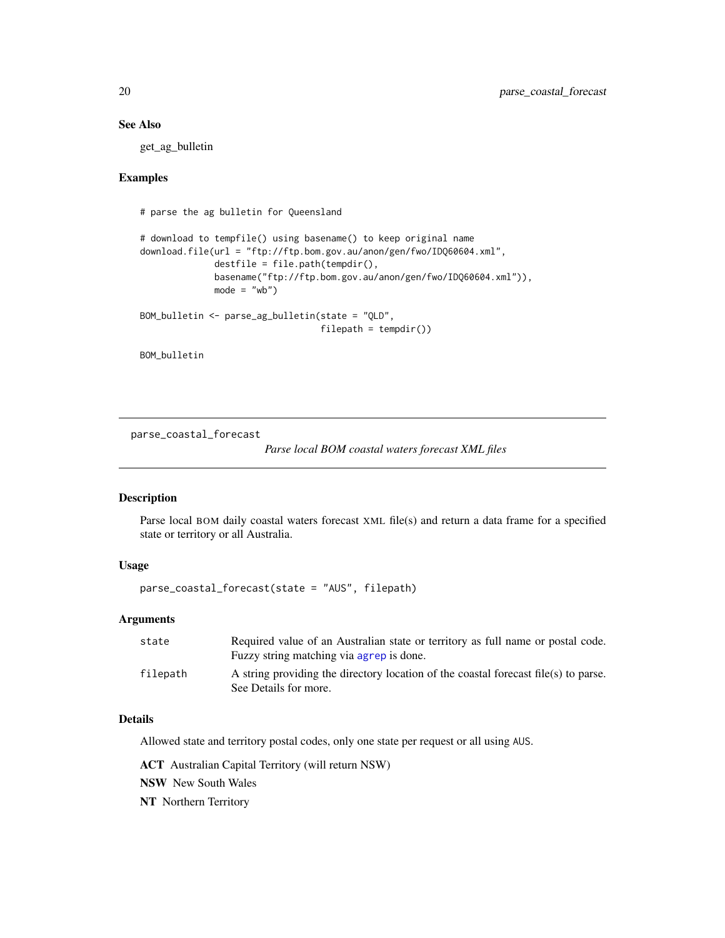## See Also

get\_ag\_bulletin

## Examples

# parse the ag bulletin for Queensland

```
# download to tempfile() using basename() to keep original name
download.file(url = "ftp://ftp.bom.gov.au/anon/gen/fwo/IDQ60604.xml",
             destfile = file.path(tempdir(),
             basename("ftp://ftp.bom.gov.au/anon/gen/fwo/IDQ60604.xml")),
             mode = "wb")BOM_bulletin <- parse_ag_bulletin(state = "QLD",
                                 filepath = tempdir()
```

```
BOM_bulletin
```
parse\_coastal\_forecast

*Parse local BOM coastal waters forecast XML files*

## Description

Parse local BOM daily coastal waters forecast XML file(s) and return a data frame for a specified state or territory or all Australia.

## Usage

parse\_coastal\_forecast(state = "AUS", filepath)

## Arguments

| state    | Required value of an Australian state or territory as full name or postal code.     |
|----------|-------------------------------------------------------------------------------------|
|          | Fuzzy string matching via agrep is done.                                            |
| filepath | A string providing the directory location of the coastal forecast file(s) to parse. |
|          | See Details for more.                                                               |

## Details

Allowed state and territory postal codes, only one state per request or all using AUS.

ACT Australian Capital Territory (will return NSW)

NSW New South Wales

NT Northern Territory

<span id="page-19-0"></span>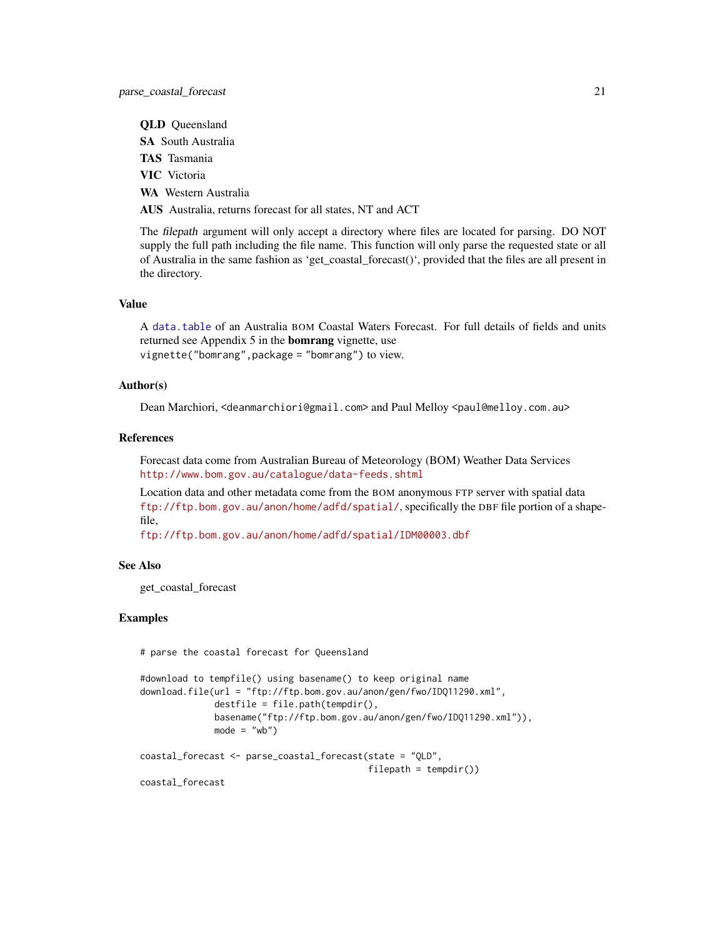<span id="page-20-0"></span>QLD Queensland

SA South Australia

TAS Tasmania

VIC Victoria

WA Western Australia

AUS Australia, returns forecast for all states, NT and ACT

The filepath argument will only accept a directory where files are located for parsing. DO NOT supply the full path including the file name. This function will only parse the requested state or all of Australia in the same fashion as 'get\_coastal\_forecast()', provided that the files are all present in the directory.

#### Value

A [data.table](#page-0-0) of an Australia BOM Coastal Waters Forecast. For full details of fields and units returned see Appendix 5 in the bomrang vignette, use vignette("bomrang",package = "bomrang") to view.

## Author(s)

Dean Marchiori, <deanmarchiori@gmail.com> and Paul Melloy <paul@melloy.com.au>

#### References

Forecast data come from Australian Bureau of Meteorology (BOM) Weather Data Services <http://www.bom.gov.au/catalogue/data-feeds.shtml>

Location data and other metadata come from the BOM anonymous FTP server with spatial data <ftp://ftp.bom.gov.au/anon/home/adfd/spatial/>, specifically the DBF file portion of a shapefile,

<ftp://ftp.bom.gov.au/anon/home/adfd/spatial/IDM00003.dbf>

#### See Also

get\_coastal\_forecast

#### Examples

# parse the coastal forecast for Queensland

```
#download to tempfile() using basename() to keep original name
download.file(url = "ftp://ftp.bom.gov.au/anon/gen/fwo/IDQ11290.xml",
             destfile = file.path(tempdir(),
             basename("ftp://ftp.bom.gov.au/anon/gen/fwo/IDQ11290.xml")),
             mode = "wb")coastal_forecast <- parse_coastal_forecast(state = "QLD",
                                          filepath = tempdir()coastal_forecast
```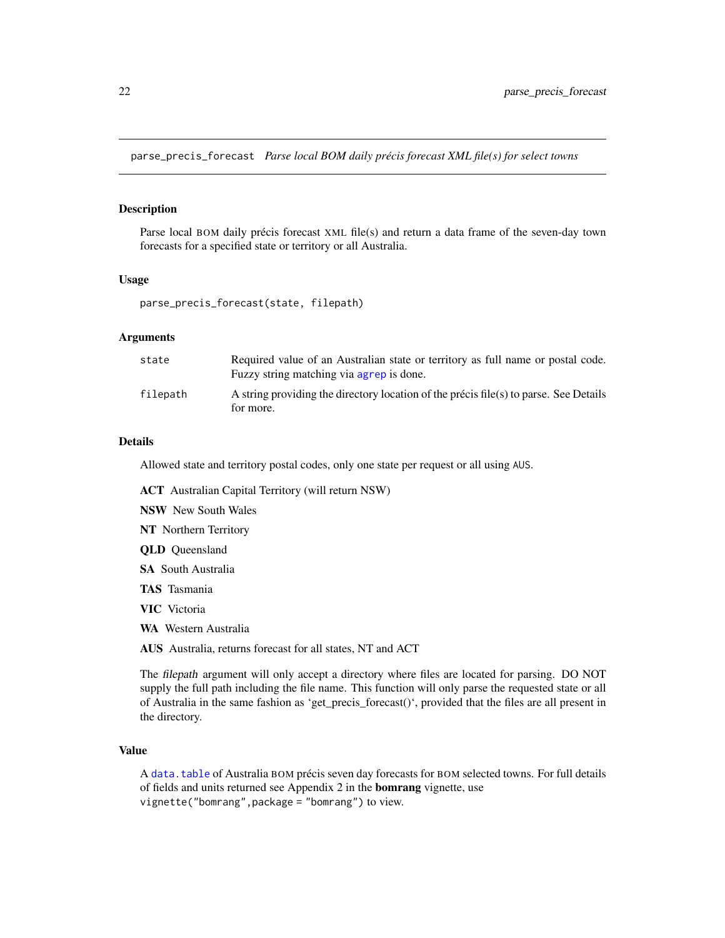<span id="page-21-0"></span>parse\_precis\_forecast *Parse local BOM daily précis forecast XML file(s) for select towns*

## Description

Parse local BOM daily précis forecast XML file(s) and return a data frame of the seven-day town forecasts for a specified state or territory or all Australia.

#### Usage

```
parse_precis_forecast(state, filepath)
```
## Arguments

| state    | Required value of an Australian state or territory as full name or postal code.<br>Fuzzy string matching via agrep is done. |
|----------|-----------------------------------------------------------------------------------------------------------------------------|
| filepath | A string providing the directory location of the précis file(s) to parse. See Details<br>for more.                          |

## Details

Allowed state and territory postal codes, only one state per request or all using AUS.

ACT Australian Capital Territory (will return NSW)

NSW New South Wales

- NT Northern Territory
- QLD Queensland
- SA South Australia
- TAS Tasmania

VIC Victoria

WA Western Australia

AUS Australia, returns forecast for all states, NT and ACT

The filepath argument will only accept a directory where files are located for parsing. DO NOT supply the full path including the file name. This function will only parse the requested state or all of Australia in the same fashion as 'get\_precis\_forecast()', provided that the files are all present in the directory.

#### Value

A [data.table](#page-0-0) of Australia BOM précis seven day forecasts for BOM selected towns. For full details of fields and units returned see Appendix 2 in the bomrang vignette, use vignette("bomrang",package = "bomrang") to view.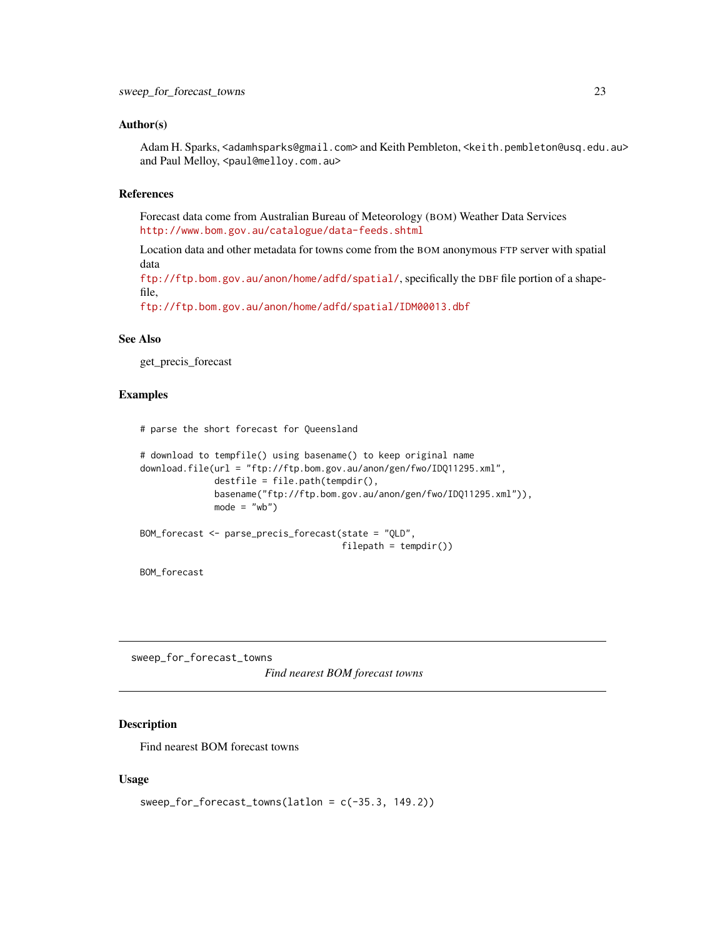### <span id="page-22-0"></span>Author(s)

Adam H. Sparks, <adamhsparks@gmail.com> and Keith Pembleton, <keith.pembleton@usq.edu.au> and Paul Melloy, <paul@melloy.com.au>

## References

Forecast data come from Australian Bureau of Meteorology (BOM) Weather Data Services <http://www.bom.gov.au/catalogue/data-feeds.shtml>

Location data and other metadata for towns come from the BOM anonymous FTP server with spatial data

<ftp://ftp.bom.gov.au/anon/home/adfd/spatial/>, specifically the DBF file portion of a shapefile,

<ftp://ftp.bom.gov.au/anon/home/adfd/spatial/IDM00013.dbf>

## See Also

get\_precis\_forecast

## Examples

# parse the short forecast for Queensland

```
# download to tempfile() using basename() to keep original name
download.file(url = "ftp://ftp.bom.gov.au/anon/gen/fwo/IDQ11295.xml",
              destfile = file.path(tempdir(),
              basename("ftp://ftp.bom.gov.au/anon/gen/fwo/IDQ11295.xml")),
             mode = "wb")BOM_forecast <- parse_precis_forecast(state = "QLD",
```

```
filepath = tempdir()
```
BOM\_forecast

sweep\_for\_forecast\_towns

*Find nearest BOM forecast towns*

## Description

Find nearest BOM forecast towns

## Usage

```
sweep_for_forecast_towns(latlon = c(-35.3, 149.2))
```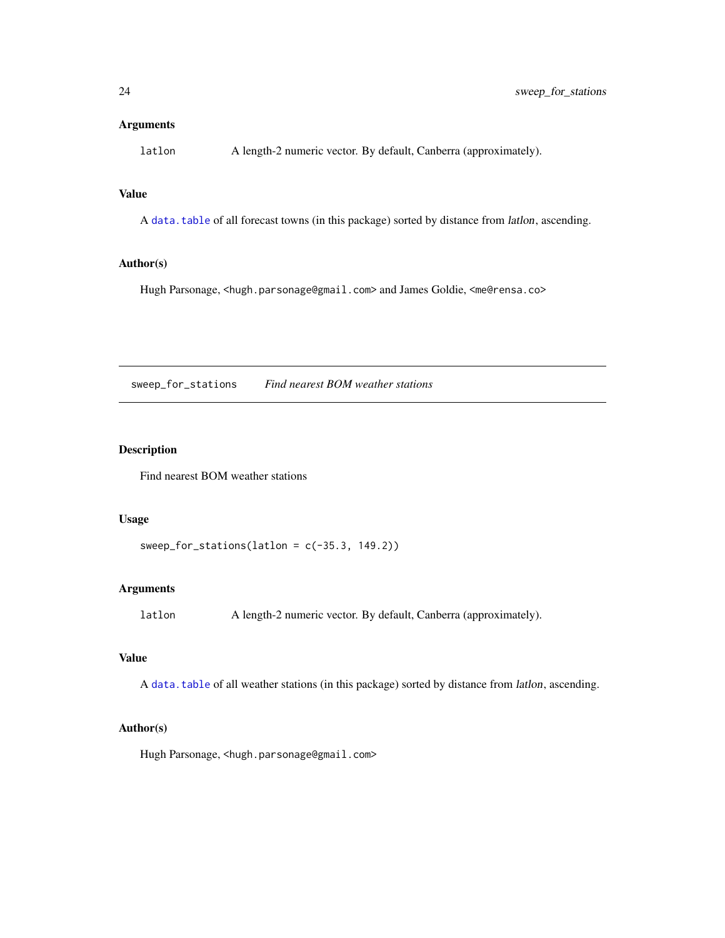## <span id="page-23-0"></span>Arguments

latlon A length-2 numeric vector. By default, Canberra (approximately).

## Value

A [data.table](#page-0-0) of all forecast towns (in this package) sorted by distance from latlon, ascending.

## Author(s)

Hugh Parsonage, <hugh.parsonage@gmail.com> and James Goldie, <me@rensa.co>

<span id="page-23-1"></span>sweep\_for\_stations *Find nearest BOM weather stations*

## Description

Find nearest BOM weather stations

## Usage

```
sweep_for_stations(latlon = c(-35.3, 149.2))
```
## Arguments

latlon A length-2 numeric vector. By default, Canberra (approximately).

## Value

A [data.table](#page-0-0) of all weather stations (in this package) sorted by distance from latlon, ascending.

## Author(s)

Hugh Parsonage, <hugh.parsonage@gmail.com>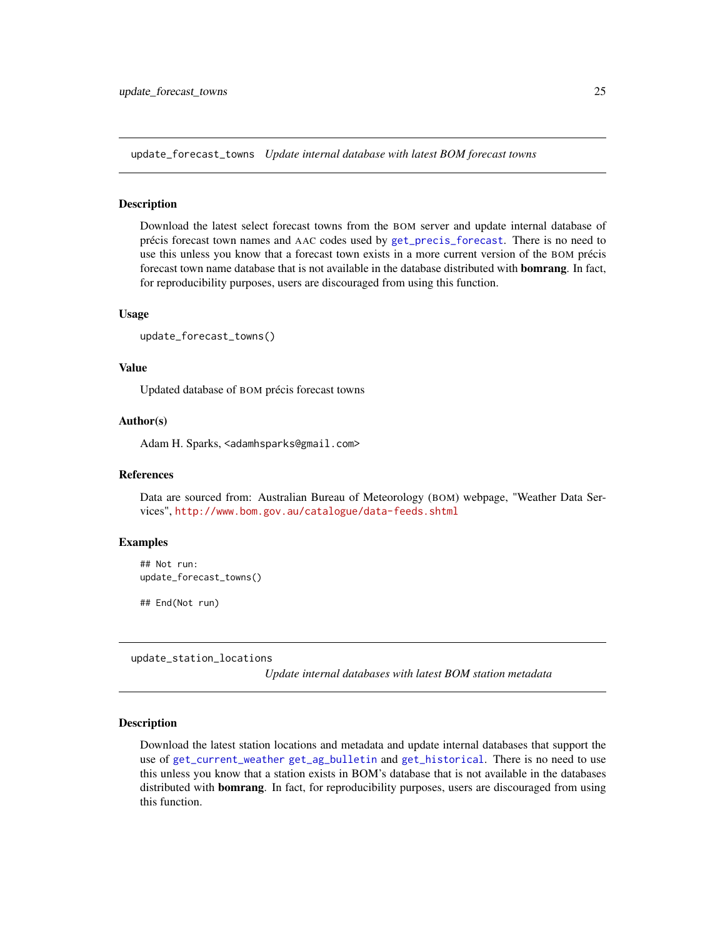<span id="page-24-0"></span>update\_forecast\_towns *Update internal database with latest BOM forecast towns*

#### Description

Download the latest select forecast towns from the BOM server and update internal database of précis forecast town names and AAC codes used by [get\\_precis\\_forecast](#page-11-1). There is no need to use this unless you know that a forecast town exists in a more current version of the BOM précis forecast town name database that is not available in the database distributed with **bomrang**. In fact, for reproducibility purposes, users are discouraged from using this function.

#### Usage

```
update_forecast_towns()
```
#### Value

Updated database of BOM précis forecast towns

## Author(s)

Adam H. Sparks, <adamhsparks@gmail.com>

#### References

Data are sourced from: Australian Bureau of Meteorology (BOM) webpage, "Weather Data Services", <http://www.bom.gov.au/catalogue/data-feeds.shtml>

#### Examples

## Not run: update\_forecast\_towns()

## End(Not run)

update\_station\_locations

*Update internal databases with latest BOM station metadata*

## **Description**

Download the latest station locations and metadata and update internal databases that support the use of [get\\_current\\_weather](#page-7-1) [get\\_ag\\_bulletin](#page-2-1) and [get\\_historical](#page-9-1). There is no need to use this unless you know that a station exists in BOM's database that is not available in the databases distributed with **bomrang**. In fact, for reproducibility purposes, users are discouraged from using this function.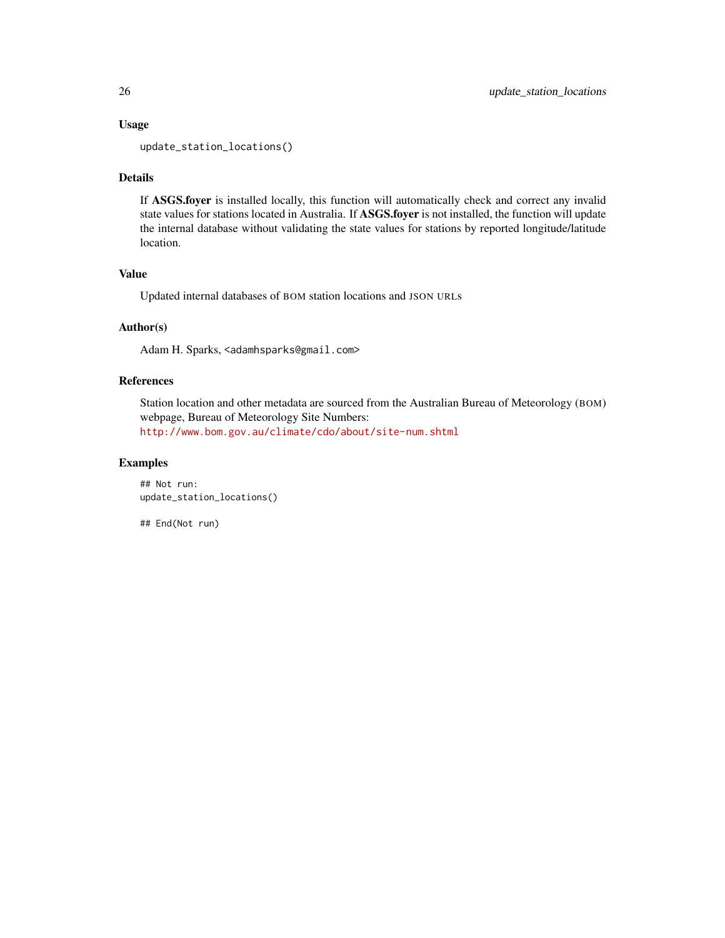### Usage

update\_station\_locations()

## Details

If ASGS.foyer is installed locally, this function will automatically check and correct any invalid state values for stations located in Australia. If ASGS.foyer is not installed, the function will update the internal database without validating the state values for stations by reported longitude/latitude location.

## Value

Updated internal databases of BOM station locations and JSON URLs

## Author(s)

Adam H. Sparks, <adamhsparks@gmail.com>

## References

Station location and other metadata are sourced from the Australian Bureau of Meteorology (BOM) webpage, Bureau of Meteorology Site Numbers: <http://www.bom.gov.au/climate/cdo/about/site-num.shtml>

## Examples

```
## Not run:
update_station_locations()
```
## End(Not run)